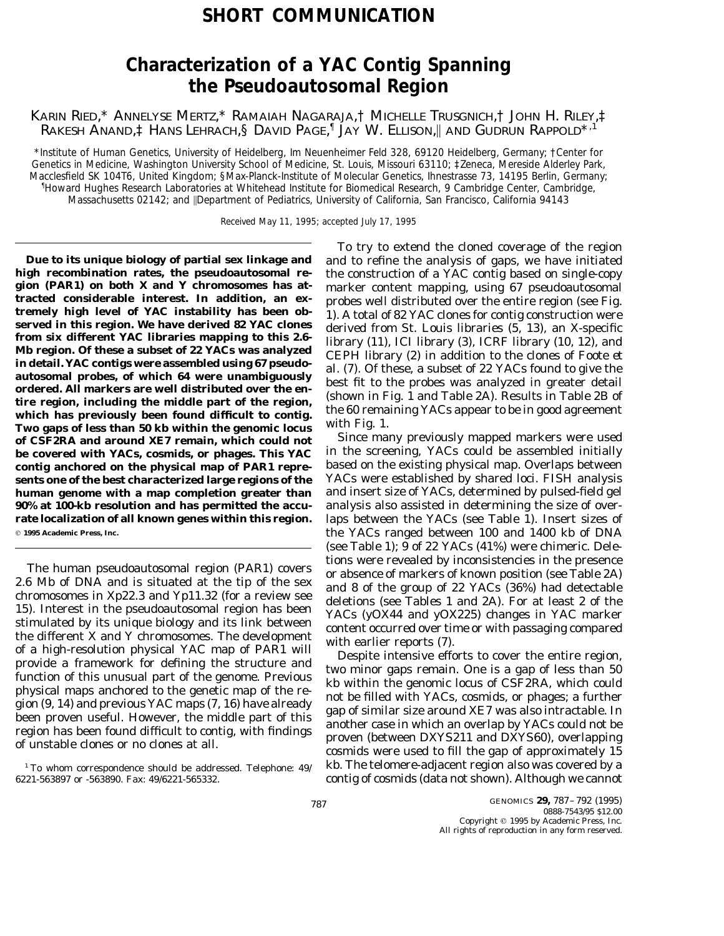## **SHORT COMMUNICATION**

# **Characterization of a YAC Contig Spanning the Pseudoautosomal Region**

KARIN RIED,\* ANNELYSE MERTZ,\* RAMAIAH NAGARAJA,† MICHELLE TRUSGNICH,† JOHN H. RILEY,‡ RAKESH ANAND,‡ HANS LEHRACH,§ DAVID PAGE, <sup>Ø</sup> JAY W. ELLISON,\ AND GUDRUN RAPPOLD\*,1

\**Institute of Human Genetics, University of Heidelberg, Im Neuenheimer Feld 328, 69120 Heidelberg, Germany;* †*Center for Genetics in Medicine, Washington University School of Medicine, St. Louis, Missouri 63110;* ‡*Zeneca, Mereside Alderley Park, Macclesfield SK 104T6, United Kingdom;* §*Max-Planck-Institute of Molecular Genetics, Ihnestrasse 73, 14195 Berlin, Germany;* Ø *Howard Hughes Research Laboratories at Whitehead Institute for Biomedical Research, 9 Cambridge Center, Cambridge, Massachusetts 02142; and* \*Department of Pediatrics, University of California, San Francisco, California 94143*

Received May 11, 1995; accepted July 17, 1995

**high recombination rates, the pseudoautosomal re-** the construction of a YAC contig based on single-copy gion (PAR1) on both X and Y chromosomes has at-<br>
tracted considerable interest. In addition, an ex-<br>
tremely high level of YAC instability has been ob-<br>
tremely high level of YAC instability has been ob-<br>
tremely high lev **be covered with YACs, cosmids, or phages. This YAC** in the screening, YACs could be assembled initially **contig anchored on the physical map of PAR1 repre-** based on the existing physical map. Overlaps between sents one of the best characterized large regions of the **human genome with a map completion greater than** and insert size of YACs, determined by pulsed-field gel **90% at 100-kb resolution and has permitted the accu-** analysis also assisted in determining the size of over<sup>q</sup> **1995 Academic Press, Inc.** the YACs ranged between 100 and 1400 kb of DNA

The human pseudoautosomal region (PAR1) covers<br>
2.6 Mb of DNA and is situated at the tip of the sex<br>
2.6 Mb of DNA and is situated at the tip of the sex<br>
can also and 8 of the group of 22 YACs (36%) had detectable<br>
chromos

6221-563897 or -563890. Fax: 49/6221-565332. contig of cosmids (data not shown). Although we cannot

To try to extend the cloned coverage of the region **Due to its unique biology of partial sex linkage and** and to refine the analysis of gaps, we have initiated

**rate localization of all known genes within this region.** laps between the YACs (see Table 1). Insert sizes of (see Table 1); 9 of 22 YACs (41%) were chimeric. Dele-

 $^{\rm 1}$ To whom correspondence should be addressed. Telephone: 49/  $\;$  kb. The telomere-adjacent region also was covered by a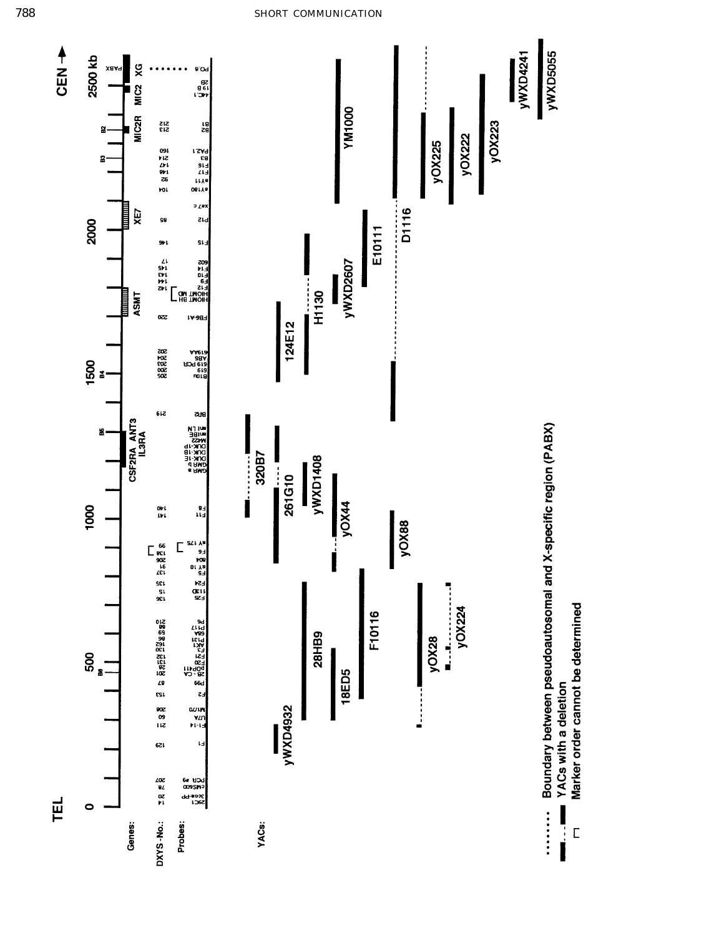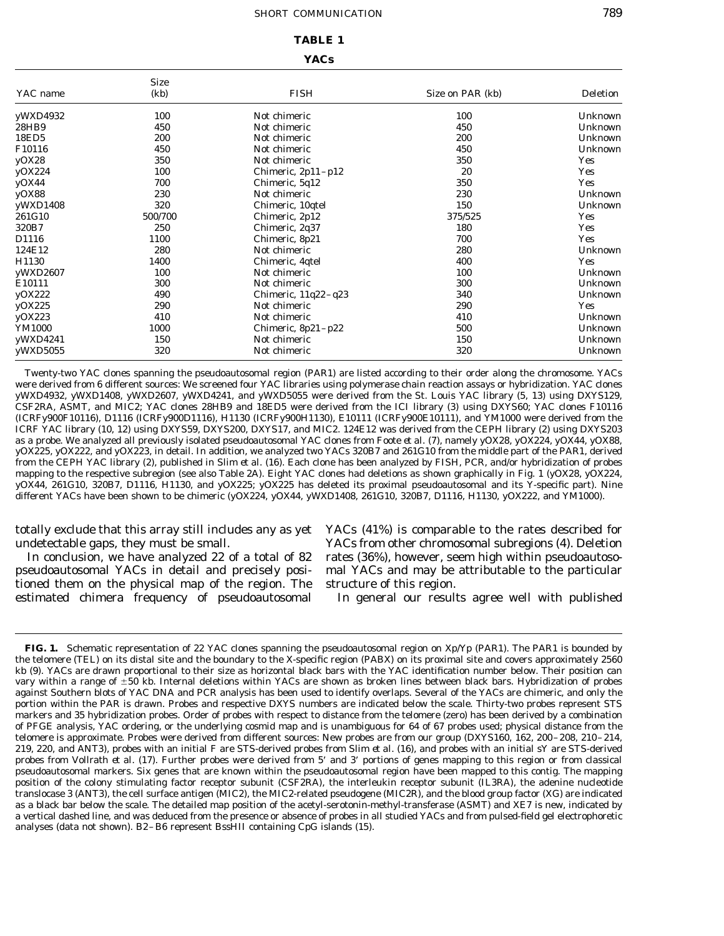### **TABLE 1**

## **YACs**

| YAC name | <b>Size</b><br>(kb) | <b>FISH</b>           | Size on PAR (kb) | <b>Deletion</b> |
|----------|---------------------|-----------------------|------------------|-----------------|
| yWXD4932 | 100                 | Not chimeric          | 100              | Unknown         |
| 28HB9    | 450                 | Not chimeric          | 450              | Unknown         |
| 18ED5    | 200                 | Not chimeric          | 200              | Unknown         |
| F10116   | 450                 | Not chimeric          | 450              | Unknown         |
| yOX28    | 350                 | Not chimeric          | 350              | <b>Yes</b>      |
| yOX224   | 100                 | Chimeric, $2p11-p12$  | 20               | <b>Yes</b>      |
| yOX44    | 700                 | Chimeric, 5q12        | 350              | Yes             |
| yOX88    | 230                 | Not chimeric          | 230              | Unknown         |
| yWXD1408 | 320                 | Chimeric, 10qtel      | 150              | Unknown         |
| 261G10   | 500/700             | Chimeric, 2p12        | 375/525          | <b>Yes</b>      |
| 320B7    | 250                 | Chimeric, 2q37        | 180              | Yes             |
| D1116    | 1100                | Chimeric, 8p21        | 700              | Yes             |
| 124E12   | 280                 | Not chimeric          | 280              | Unknown         |
| H1130    | 1400                | Chimeric, 4qtel       | 400              | Yes             |
| yWXD2607 | 100                 | Not chimeric          | 100              | Unknown         |
| E10111   | 300                 | Not chimeric          | 300              | Unknown         |
| yOX222   | 490                 | Chimeric, $11q22-q23$ | 340              | Unknown         |
| yOX225   | 290                 | Not chimeric          | 290              | Yes             |
| yOX223   | 410                 | Not chimeric          | 410              | Unknown         |
| YM1000   | 1000                | Chimeric, $8p21-p22$  | 500              | Unknown         |
| yWXD4241 | 150                 | Not chimeric          | 150              | Unknown         |
| yWXD5055 | 320                 | Not chimeric          | 320              | Unknown         |

Twenty-two YAC clones spanning the pseudoautosomal region (PAR1) are listed according to their order along the chromosome. YACs were derived from 6 different sources: We screened four YAC libraries using polymerase chain reaction assays or hybridization. YAC clones yWXD4932, yWXD1408, yWXD2607, yWXD4241, and yWXD5055 were derived from the St. Louis YAC library (5, 13) using DXYS129, CSF2RA, ASMT, and MIC2; YAC clones 28HB9 and 18ED5 were derived from the ICI library (3) using DXYS60; YAC clones F10116 (ICRFy900F10116), D1116 (ICRFy900D1116), H1130 (ICRFy900H1130), E10111 (ICRFy900E10111), and YM1000 were derived from the ICRF YAC library (10, 12) using DXYS59, DXYS200, DXYS17, and MIC2. 124E12 was derived from the CEPH library (2) using DXYS203 as a probe. We analyzed all previously isolated pseudoautosomal YAC clones from Foote *et al.* (7), namely yOX28, yOX224, yOX44, yOX88, yOX225, yOX222, and yOX223, in detail. In addition, we analyzed two YACs 320B7 and 261G10 from the middle part of the PAR1, derived from the CEPH YAC library (2), published in Slim *et al.* (16). Each clone has been analyzed by FISH, PCR, and/or hybridization of probes mapping to the respective subregion (see also Table 2A). Eight YAC clones had deletions as shown graphically in Fig. 1 (yOX28, yOX224, yOX44, 261G10, 320B7, D1116, H1130, and yOX225; yOX225 has deleted its proximal pseudoautosomal and its Y-specific part). Nine different YACs have been shown to be chimeric (yOX224, yOX44, yWXD1408, 261G10, 320B7, D1116, H1130, yOX222, and YM1000).

totally exclude that this array still includes any as yet YACs (41%) is comparable to the rates described for

pseudoautosomal YACs in detail and precisely posi- mal YACs and may be attributable to the particular tioned them on the physical map of the region. The structure of this region. estimated chimera frequency of pseudoautosomal In general our results agree well with published

undetectable gaps, they must be small. YACs from other chromosomal subregions (4). Deletion In conclusion, we have analyzed 22 of a total of 82 rates (36%), however, seem high within pseudoautoso-

**FIG. 1.** Schematic representation of 22 YAC clones spanning the pseudoautosomal region on Xp/Yp (PAR1). The PAR1 is bounded by the telomere (TEL) on its distal site and the boundary to the X-specific region (PABX) on its proximal site and covers approximately 2560 kb (9). YACs are drawn proportional to their size as horizontal black bars with the YAC identification number below. Their position can vary within a range of  $\pm 50$  kb. Internal deletions within YACs are shown as broken lines between black bars. Hybridization of probes against Southern blots of YAC DNA and PCR analysis has been used to identify overlaps. Several of the YACs are chimeric, and only the portion within the PAR is drawn. Probes and respective DXYS numbers are indicated below the scale. Thirty-two probes represent STS markers and 35 hybridization probes. Order of probes with respect to distance from the telomere (zero) has been derived by a combination of PFGE analysis, YAC ordering, or the underlying cosmid map and is unambiguous for 64 of 67 probes used; physical distance from the telomere is approximate. Probes were derived from different sources: New probes are from our group (DXYS160, 162, 200–208, 210–214, 219, 220, and ANT3), probes with an initial F are STS-derived probes from Slim *et al.* (16), and probes with an initial sY are STS-derived probes from Vollrath *et al.* (17). Further probes were derived from 5' and 3' portions of genes mapping to this region or from classical pseudoautosomal markers. Six genes that are known within the pseudoautosomal region have been mapped to this contig. The mapping position of the colony stimulating factor receptor subunit (CSF2RA), the interleukin receptor subunit (IL3RA), the adenine nucleotide translocase 3 (ANT3), the cell surface antigen (MIC2), the MIC2-related pseudogene (MIC2R), and the blood group factor (XG) are indicated as a black bar below the scale. The detailed map position of the acetyl-serotonin-methyl-transferase (ASMT) and XE7 is new, indicated by a vertical dashed line, and was deduced from the presence or absence of probes in all studied YACs and from pulsed-field gel electrophoretic analyses (data not shown). B2–B6 represent *Bss*HII containing CpG islands (15).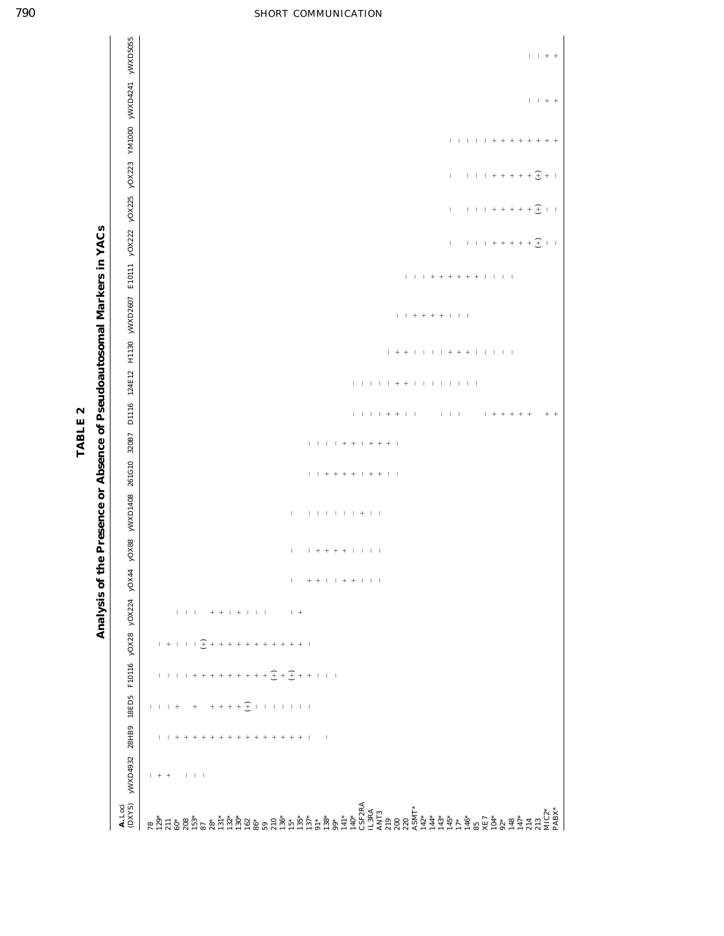| $A.$ Loci<br>(DXYS)                                                                                                                                                                                                                                                                                                                                                                                                                                                                              | yWXD4932                            |                                  | 28HB9 18ED5                                                                                                       |                                                       |     | F10116 yOX28 yOX224 yOX44 |                                 | yOX88 yWXD1408 261G10 320B7 |  | D1116 124E12            | H1130 yWXD2607                       |                                                                                             |              |                             |              |             | E10111 yOX222 yOX225 yOX223 YM1000 yWXD4241 yWXD5055 |
|--------------------------------------------------------------------------------------------------------------------------------------------------------------------------------------------------------------------------------------------------------------------------------------------------------------------------------------------------------------------------------------------------------------------------------------------------------------------------------------------------|-------------------------------------|----------------------------------|-------------------------------------------------------------------------------------------------------------------|-------------------------------------------------------|-----|---------------------------|---------------------------------|-----------------------------|--|-------------------------|--------------------------------------|---------------------------------------------------------------------------------------------|--------------|-----------------------------|--------------|-------------|------------------------------------------------------|
|                                                                                                                                                                                                                                                                                                                                                                                                                                                                                                  |                                     |                                  |                                                                                                                   |                                                       |     |                           |                                 |                             |  |                         |                                      |                                                                                             |              |                             |              |             |                                                      |
|                                                                                                                                                                                                                                                                                                                                                                                                                                                                                                  | $+ + +$                             |                                  |                                                                                                                   |                                                       |     |                           |                                 |                             |  |                         |                                      |                                                                                             |              |                             |              |             |                                                      |
|                                                                                                                                                                                                                                                                                                                                                                                                                                                                                                  |                                     | $\mathbf{1}$                     | $\vert \hspace{.1cm} \vert \hspace{.1cm} \vert \hspace{.1cm} \vert \hspace{.1cm} + \hspace{.1cm} \hspace{.1cm} +$ |                                                       |     |                           |                                 |                             |  |                         |                                      |                                                                                             |              |                             |              |             |                                                      |
|                                                                                                                                                                                                                                                                                                                                                                                                                                                                                                  |                                     | $+$                              |                                                                                                                   |                                                       |     |                           |                                 |                             |  |                         |                                      |                                                                                             |              |                             |              |             |                                                      |
| $\overset{*}{\mathcal{R}}\,\overset{*}{\mathcal{R}}\,\overset{*}{\mathcal{R}}\,\overset{*}{\mathcal{R}}\,\overset{*}{\mathcal{R}}\,\overset{*}{\mathcal{R}}\,\overset{*}{\mathcal{R}}\,\overset{*}{\mathcal{R}}\,\overset{*}{\mathcal{R}}\,\overset{*}{\mathcal{R}}\,\overset{*}{\mathcal{R}}\,\overset{*}{\mathcal{R}}\,\overset{*}{\mathcal{R}}\,\overset{*}{\mathcal{R}}\,\overset{*}{\mathcal{R}}\,\overset{*}{\mathcal{R}}\,\overset{*}{\mathcal{R}}\,\overset{*}{\mathcal{R}}\,\overset{*$ | $\vert \cdot \vert$ $\vert$ $\vert$ | $^{+}$<br>$^{+}$                 | $\,$ + $\,$                                                                                                       | $1 + 1 + 1 + \frac{1}{2} + 1 + 1 + 1 + 1 + 1 + 1 + 1$ |     |                           |                                 |                             |  |                         |                                      |                                                                                             |              |                             |              |             |                                                      |
|                                                                                                                                                                                                                                                                                                                                                                                                                                                                                                  |                                     | $\! + \!\!\!\!$                  |                                                                                                                   |                                                       |     |                           |                                 |                             |  |                         |                                      |                                                                                             |              |                             |              |             |                                                      |
|                                                                                                                                                                                                                                                                                                                                                                                                                                                                                                  |                                     | $\! + \!\!\!\!$                  |                                                                                                                   |                                                       |     |                           |                                 |                             |  |                         |                                      |                                                                                             |              |                             |              |             |                                                      |
|                                                                                                                                                                                                                                                                                                                                                                                                                                                                                                  |                                     | $^{+}$                           |                                                                                                                   |                                                       |     |                           |                                 |                             |  |                         |                                      |                                                                                             |              |                             |              |             |                                                      |
|                                                                                                                                                                                                                                                                                                                                                                                                                                                                                                  |                                     | $^{+}$                           |                                                                                                                   |                                                       |     |                           |                                 |                             |  |                         |                                      |                                                                                             |              |                             |              |             |                                                      |
|                                                                                                                                                                                                                                                                                                                                                                                                                                                                                                  |                                     |                                  |                                                                                                                   |                                                       |     |                           |                                 |                             |  |                         |                                      |                                                                                             |              |                             |              |             |                                                      |
|                                                                                                                                                                                                                                                                                                                                                                                                                                                                                                  |                                     | $^{+}$                           |                                                                                                                   |                                                       |     |                           |                                 |                             |  |                         |                                      |                                                                                             |              |                             |              |             |                                                      |
|                                                                                                                                                                                                                                                                                                                                                                                                                                                                                                  |                                     |                                  |                                                                                                                   |                                                       |     |                           |                                 |                             |  |                         |                                      |                                                                                             |              |                             |              |             |                                                      |
|                                                                                                                                                                                                                                                                                                                                                                                                                                                                                                  |                                     |                                  |                                                                                                                   |                                                       |     |                           |                                 |                             |  |                         |                                      |                                                                                             |              |                             |              |             |                                                      |
|                                                                                                                                                                                                                                                                                                                                                                                                                                                                                                  |                                     |                                  |                                                                                                                   |                                                       |     |                           |                                 |                             |  |                         |                                      |                                                                                             |              |                             |              |             |                                                      |
| $2136*$<br>$135*$<br>$135*$<br>$137*$                                                                                                                                                                                                                                                                                                                                                                                                                                                            |                                     | $\begin{array}{c} + \end{array}$ | $+++++\underbrace{+}\,\,+\,\,+\,\,$                                                                               |                                                       |     |                           |                                 |                             |  |                         |                                      |                                                                                             |              |                             |              |             |                                                      |
|                                                                                                                                                                                                                                                                                                                                                                                                                                                                                                  |                                     |                                  |                                                                                                                   |                                                       | $+$ | $\mathbb{L}$              | $\mathbb{L}$                    | $\mathord{\text{\rm I}}$    |  |                         |                                      |                                                                                             |              |                             |              |             |                                                      |
|                                                                                                                                                                                                                                                                                                                                                                                                                                                                                                  |                                     | $+ + + +$                        |                                                                                                                   |                                                       |     |                           |                                 |                             |  |                         |                                      |                                                                                             |              |                             |              |             |                                                      |
|                                                                                                                                                                                                                                                                                                                                                                                                                                                                                                  |                                     |                                  |                                                                                                                   |                                                       |     |                           |                                 |                             |  |                         |                                      |                                                                                             |              |                             |              |             |                                                      |
| $\frac{1}{10}$                                                                                                                                                                                                                                                                                                                                                                                                                                                                                   |                                     | $\blacksquare$                   |                                                                                                                   |                                                       |     |                           |                                 |                             |  |                         |                                      |                                                                                             |              |                             |              |             |                                                      |
| အီ<br>ဂီ                                                                                                                                                                                                                                                                                                                                                                                                                                                                                         |                                     |                                  |                                                                                                                   |                                                       |     |                           |                                 |                             |  |                         |                                      |                                                                                             |              |                             |              |             |                                                      |
|                                                                                                                                                                                                                                                                                                                                                                                                                                                                                                  |                                     |                                  |                                                                                                                   |                                                       |     |                           |                                 |                             |  |                         |                                      |                                                                                             |              |                             |              |             |                                                      |
| $41*$                                                                                                                                                                                                                                                                                                                                                                                                                                                                                            |                                     |                                  |                                                                                                                   |                                                       |     |                           |                                 |                             |  |                         |                                      |                                                                                             |              |                             |              |             |                                                      |
|                                                                                                                                                                                                                                                                                                                                                                                                                                                                                                  |                                     |                                  |                                                                                                                   |                                                       |     | + + + + + + + +           | $1 + + + + + + + + + + + + + +$ |                             |  |                         |                                      |                                                                                             |              |                             |              |             |                                                      |
|                                                                                                                                                                                                                                                                                                                                                                                                                                                                                                  |                                     |                                  |                                                                                                                   |                                                       |     |                           |                                 |                             |  |                         |                                      |                                                                                             |              |                             |              |             |                                                      |
| $\begin{array}{ll} \bf 140^* \\ \bf CSF2RA \\ \bf IL3RA \\ \bf ANT3 \end{array}$                                                                                                                                                                                                                                                                                                                                                                                                                 |                                     |                                  |                                                                                                                   |                                                       |     |                           |                                 |                             |  |                         |                                      |                                                                                             |              |                             |              |             |                                                      |
|                                                                                                                                                                                                                                                                                                                                                                                                                                                                                                  |                                     |                                  |                                                                                                                   |                                                       |     |                           |                                 |                             |  |                         |                                      |                                                                                             |              |                             |              |             |                                                      |
|                                                                                                                                                                                                                                                                                                                                                                                                                                                                                                  |                                     |                                  |                                                                                                                   |                                                       |     |                           |                                 |                             |  |                         |                                      |                                                                                             |              |                             |              |             |                                                      |
|                                                                                                                                                                                                                                                                                                                                                                                                                                                                                                  |                                     |                                  |                                                                                                                   |                                                       |     |                           |                                 |                             |  |                         |                                      |                                                                                             |              |                             |              |             |                                                      |
|                                                                                                                                                                                                                                                                                                                                                                                                                                                                                                  |                                     |                                  |                                                                                                                   |                                                       |     |                           |                                 |                             |  |                         |                                      |                                                                                             |              |                             |              |             |                                                      |
|                                                                                                                                                                                                                                                                                                                                                                                                                                                                                                  |                                     |                                  |                                                                                                                   |                                                       |     |                           |                                 |                             |  |                         |                                      |                                                                                             |              |                             |              |             |                                                      |
|                                                                                                                                                                                                                                                                                                                                                                                                                                                                                                  |                                     |                                  |                                                                                                                   |                                                       |     |                           |                                 |                             |  |                         |                                      |                                                                                             |              |                             |              |             |                                                      |
| $\begin{array}{l} 219 \\ 200 \\ 200 \\ 210 \\ 221 \\ 231 \\ 242 \\ 25 \\ 26 \\ 27 \\ 28 \\ 29 \\ 21 \\ 23 \\ 24 \\ 25 \\ 26 \\ 27 \\ 28 \\ 29 \\ 20 \\ 20 \\ 21 \\ 23 \\ 24 \\ 25 \\ 26 \\ 27 \\ 28 \\ 29 \\ 20 \\ 21 \\ 23 \\ 24 \\ 25 \\ 26 \\ 27 \\ 28 \\ 29 \\ 21 \\ 23 \\ 24 \\ 25 \\ 26 \\ 27 \\ 28 \\ 29 \\ 29 \\ 21 \\ 23 \\ 24 \\ 2$                                                                                                                                                    |                                     |                                  |                                                                                                                   |                                                       |     |                           |                                 |                             |  | $\vert - \vert - \vert$ |                                      |                                                                                             |              |                             | $\mathbb{L}$ |             |                                                      |
|                                                                                                                                                                                                                                                                                                                                                                                                                                                                                                  |                                     |                                  |                                                                                                                   |                                                       |     |                           |                                 |                             |  |                         |                                      |                                                                                             | $\mathbb{L}$ | $\mathbb{L}$                |              |             |                                                      |
| $46*$                                                                                                                                                                                                                                                                                                                                                                                                                                                                                            |                                     |                                  |                                                                                                                   |                                                       |     |                           |                                 |                             |  |                         |                                      |                                                                                             |              |                             |              |             |                                                      |
|                                                                                                                                                                                                                                                                                                                                                                                                                                                                                                  |                                     |                                  |                                                                                                                   |                                                       |     |                           |                                 |                             |  |                         |                                      |                                                                                             |              |                             |              |             |                                                      |
|                                                                                                                                                                                                                                                                                                                                                                                                                                                                                                  |                                     |                                  |                                                                                                                   |                                                       |     |                           |                                 |                             |  |                         | <b>1 + + 1 1 1 1 + + + 1 1 1 1 1</b> | $1\  \  \, 1\  \  \, 1\  \  \, +\  \  +\  \  +\  \  +\  \  +\  \  \, 1\  \  \, 1\  \  \, 1$ |              |                             |              |             |                                                      |
| $\mathfrak{k}^*$                                                                                                                                                                                                                                                                                                                                                                                                                                                                                 |                                     |                                  |                                                                                                                   |                                                       |     |                           |                                 |                             |  |                         |                                      |                                                                                             |              |                             |              |             |                                                      |
|                                                                                                                                                                                                                                                                                                                                                                                                                                                                                                  |                                     |                                  |                                                                                                                   |                                                       |     |                           |                                 |                             |  |                         |                                      |                                                                                             |              |                             |              |             |                                                      |
| $48$<br>$47$                                                                                                                                                                                                                                                                                                                                                                                                                                                                                     |                                     |                                  |                                                                                                                   |                                                       |     |                           |                                 |                             |  |                         |                                      |                                                                                             |              |                             |              |             |                                                      |
| $\overline{14}$                                                                                                                                                                                                                                                                                                                                                                                                                                                                                  |                                     |                                  |                                                                                                                   |                                                       |     |                           |                                 |                             |  | $1 + + + + + +$         |                                      |                                                                                             |              | $1 + 1 + 1 + 1 + 1 + 1 + 1$ |              |             |                                                      |
| $\overline{13}$                                                                                                                                                                                                                                                                                                                                                                                                                                                                                  |                                     |                                  |                                                                                                                   |                                                       |     |                           |                                 |                             |  |                         |                                      |                                                                                             |              |                             |              | $1 + + + +$ | $1 + + +$                                            |
| VIC2*<br>PABX*                                                                                                                                                                                                                                                                                                                                                                                                                                                                                   |                                     |                                  |                                                                                                                   |                                                       |     |                           |                                 |                             |  | $+$ +                   |                                      |                                                                                             |              |                             |              |             |                                                      |
|                                                                                                                                                                                                                                                                                                                                                                                                                                                                                                  |                                     |                                  |                                                                                                                   |                                                       |     |                           |                                 |                             |  |                         |                                      |                                                                                             |              |                             |              |             |                                                      |

Analysis of the Presence or Absence of Pseudoautosomal Markers in YACs TABLE 2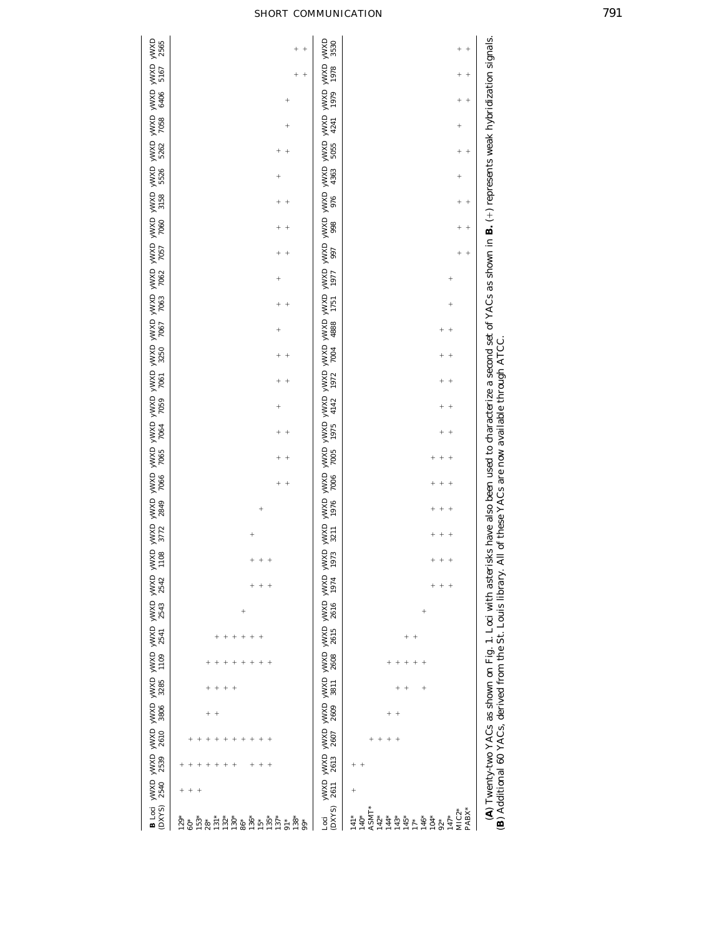| 2565   | $\ddot{\phantom{1}}$<br>$^{+}$                                                                                                                                     | 3530                                                                                                                                                                                                                                                                                                                                                                     |                                                                                                                                                                                                 |
|--------|--------------------------------------------------------------------------------------------------------------------------------------------------------------------|--------------------------------------------------------------------------------------------------------------------------------------------------------------------------------------------------------------------------------------------------------------------------------------------------------------------------------------------------------------------------|-------------------------------------------------------------------------------------------------------------------------------------------------------------------------------------------------|
| 5167   | $^{+}$<br>$^{+}$                                                                                                                                                   | 1978                                                                                                                                                                                                                                                                                                                                                                     | $^{+}$<br>$^{+}$                                                                                                                                                                                |
| 6406   | $^{+}$                                                                                                                                                             | 1979                                                                                                                                                                                                                                                                                                                                                                     | $^{+}$<br>$^{+}$                                                                                                                                                                                |
| 7058   | $^{+}$                                                                                                                                                             | 4241                                                                                                                                                                                                                                                                                                                                                                     | $^{+}$                                                                                                                                                                                          |
| 5262   | $^{+}$                                                                                                                                                             | 5055                                                                                                                                                                                                                                                                                                                                                                     | $^{+}$<br>$+$                                                                                                                                                                                   |
| 5526   | $^{+}$                                                                                                                                                             | 4363                                                                                                                                                                                                                                                                                                                                                                     | $^{+}$                                                                                                                                                                                          |
| 3158   | $\overline{+}$<br>$^{+}$                                                                                                                                           | 976                                                                                                                                                                                                                                                                                                                                                                      | $^{+}$<br>$^{+}$                                                                                                                                                                                |
| 7060   |                                                                                                                                                                    | 998                                                                                                                                                                                                                                                                                                                                                                      |                                                                                                                                                                                                 |
| 7057   | $\overline{+}$                                                                                                                                                     | 997                                                                                                                                                                                                                                                                                                                                                                      | $\ddot{}$<br>$^{+}$                                                                                                                                                                             |
| 7062   | $\ddot{}$                                                                                                                                                          | 1977                                                                                                                                                                                                                                                                                                                                                                     | $^{+}$                                                                                                                                                                                          |
| 7063   | $^{+}$<br>$\,{}^{+}\,$                                                                                                                                             | 1751                                                                                                                                                                                                                                                                                                                                                                     | $\overline{+}$                                                                                                                                                                                  |
| 7067   | $^{+}$                                                                                                                                                             | axin <sup>k</sup> axin <sup>k</sup> axin <sup>k</sup> axin <sup>k</sup> axin <sup>k</sup> axin <sup>k</sup> axin <sup>k</sup> axin <sup>k</sup> axin <sup>k</sup> axin <sup>k</sup> axin <sup>k</sup> axin <sup>k</sup> axin <sup>k</sup> axink axink axink axink axink axink axink axink axink axink axink axink axink axink axink axink axink axink axink axin<br>4888 |                                                                                                                                                                                                 |
| 3250   |                                                                                                                                                                    | 7004                                                                                                                                                                                                                                                                                                                                                                     |                                                                                                                                                                                                 |
| 7061   | $\ddot{}$                                                                                                                                                          | 1972                                                                                                                                                                                                                                                                                                                                                                     |                                                                                                                                                                                                 |
| 7059   |                                                                                                                                                                    | 4142                                                                                                                                                                                                                                                                                                                                                                     |                                                                                                                                                                                                 |
| 7064   | $^{+}$                                                                                                                                                             | 1975                                                                                                                                                                                                                                                                                                                                                                     |                                                                                                                                                                                                 |
| 7065   |                                                                                                                                                                    |                                                                                                                                                                                                                                                                                                                                                                          | $^{+}$                                                                                                                                                                                          |
|        | $^{+}$<br>$^{+}$                                                                                                                                                   | 7005                                                                                                                                                                                                                                                                                                                                                                     | $\hspace{0.1mm} +$<br>$^{+}$                                                                                                                                                                    |
| 7066   | $^{+}$<br>$^{+}$                                                                                                                                                   | 7006                                                                                                                                                                                                                                                                                                                                                                     | $\ddagger$<br>$^{+}$                                                                                                                                                                            |
| 2849   | $^{+}$                                                                                                                                                             | 1976                                                                                                                                                                                                                                                                                                                                                                     | $\ddot{}$<br>$^{+}$                                                                                                                                                                             |
| 3772   |                                                                                                                                                                    | 3211                                                                                                                                                                                                                                                                                                                                                                     |                                                                                                                                                                                                 |
| 1108   |                                                                                                                                                                    | 1973                                                                                                                                                                                                                                                                                                                                                                     |                                                                                                                                                                                                 |
| 2542   | $+$<br>$\qquad \qquad +$                                                                                                                                           | 1974                                                                                                                                                                                                                                                                                                                                                                     | $+$<br>÷<br>$\begin{array}{c} + \end{array}$                                                                                                                                                    |
| 2543   | $^{+}$                                                                                                                                                             | 2616                                                                                                                                                                                                                                                                                                                                                                     | $\ddot{}$                                                                                                                                                                                       |
| 2541   | $^+$<br>$+$<br>$^{+}$<br>$^{+}$<br>$^{+}$<br>$\begin{array}{c} + \end{array}$                                                                                      | 2615                                                                                                                                                                                                                                                                                                                                                                     | $+$ +                                                                                                                                                                                           |
| 1109   | $^{+}$<br>$^{+}$<br>$^{+}$<br>$^{+}$<br>+                                                                                                                          | 2608                                                                                                                                                                                                                                                                                                                                                                     | $\ddot{}$<br>$^{+}$<br>$^{+}$<br>$\hspace{0.1mm} +$<br>$^{+}$                                                                                                                                   |
| 3285   | $^{+}$<br>$\overline{+}$<br>$^{+}$<br>$^{+}$                                                                                                                       | 3811                                                                                                                                                                                                                                                                                                                                                                     | $^{+}$<br>$^{+}$<br>$\ddot{}$                                                                                                                                                                   |
| 3806   | $^{+}$<br>$+$                                                                                                                                                      | 2609                                                                                                                                                                                                                                                                                                                                                                     | $\ddot{}$<br>$^{+}$                                                                                                                                                                             |
| 2610   | $^{+}$<br>$^{+}$<br>$^{+}$<br>$^{+}$<br>$^{+}$                                                                                                                     | 2607                                                                                                                                                                                                                                                                                                                                                                     | $\qquad \qquad +$<br>$\,{}^{+}\,$<br>$^{+}$<br>$^{+}$                                                                                                                                           |
| 2539   | $^{+}$<br>$^{+}$<br>$^{+}$<br>$+$<br>$+$<br>$^{+}$<br>$^{+}$<br>$^{+}$<br>$^{+}$<br>$\,{}^{+}\,$                                                                   | 2613                                                                                                                                                                                                                                                                                                                                                                     | $^{+}$<br>$+$                                                                                                                                                                                   |
| 2540   | $^{+}$<br>$\overline{+}$<br>$^{+}$                                                                                                                                 | 2611                                                                                                                                                                                                                                                                                                                                                                     | (A) Twenty-two YACs as shown on Fig. 1. Loci with asterisks have also been used to characterize a second set of YACs as shown in <b>B.</b> (+) represents weak hybridization signals.<br>$^{+}$ |
| (DXYS) | $135*$<br>$153*$<br>$131*$<br>132*<br>$130*$<br>136*<br>$137*$<br>138*<br>$129*$<br>86*<br>$\frac{1}{10}$<br>$15*$<br>$60^\ast$<br>$\mathbf{28}^{*}$<br>$\ddot{9}$ | (DXYS<br>Loci                                                                                                                                                                                                                                                                                                                                                            | ASMT*<br>PABX*<br>$MIC2*$<br>$141*$<br>$140*$<br>$142*$<br>$147*$<br>144*<br>146*<br>$104*$<br>143*<br>$145*$<br>$17*$<br>$92*$                                                                 |